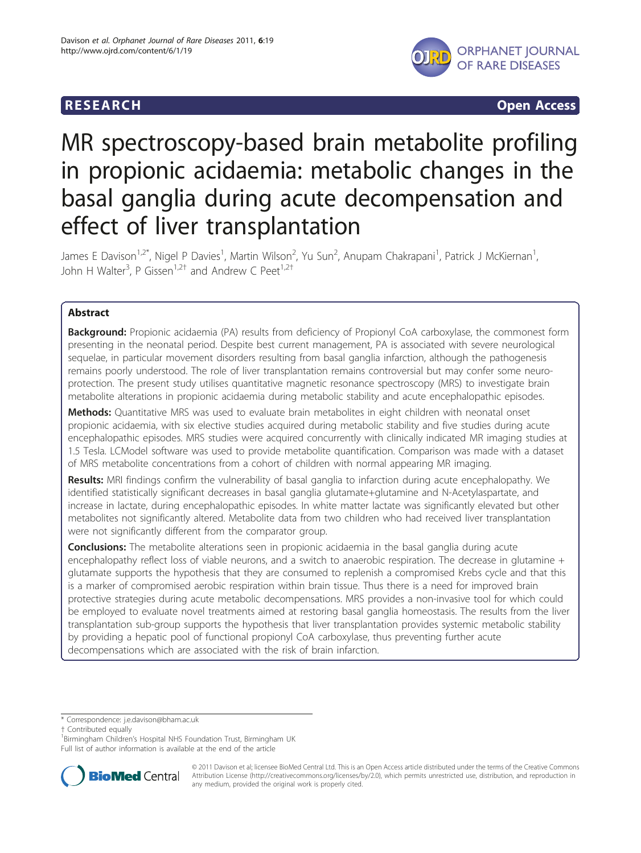

**RESEARCH CONSTRUCTION CONSTRUCTS** 

# MR spectroscopy-based brain metabolite profiling in propionic acidaemia: metabolic changes in the basal ganglia during acute decompensation and effect of liver transplantation

James E Davison<sup>1,2\*</sup>, Nigel P Davies<sup>1</sup>, Martin Wilson<sup>2</sup>, Yu Sun<sup>2</sup>, Anupam Chakrapani<sup>1</sup>, Patrick J McKiernan<sup>1</sup> , John H Walter<sup>3</sup>, P Gissen<sup>1,2†</sup> and Andrew C Peet<sup>1,2†</sup>

# Abstract

**Background:** Propionic acidaemia (PA) results from deficiency of Propionyl CoA carboxylase, the commonest form presenting in the neonatal period. Despite best current management, PA is associated with severe neurological sequelae, in particular movement disorders resulting from basal ganglia infarction, although the pathogenesis remains poorly understood. The role of liver transplantation remains controversial but may confer some neuroprotection. The present study utilises quantitative magnetic resonance spectroscopy (MRS) to investigate brain metabolite alterations in propionic acidaemia during metabolic stability and acute encephalopathic episodes.

Methods: Quantitative MRS was used to evaluate brain metabolites in eight children with neonatal onset propionic acidaemia, with six elective studies acquired during metabolic stability and five studies during acute encephalopathic episodes. MRS studies were acquired concurrently with clinically indicated MR imaging studies at 1.5 Tesla. LCModel software was used to provide metabolite quantification. Comparison was made with a dataset of MRS metabolite concentrations from a cohort of children with normal appearing MR imaging.

Results: MRI findings confirm the vulnerability of basal ganglia to infarction during acute encephalopathy. We identified statistically significant decreases in basal ganglia glutamate+glutamine and N-Acetylaspartate, and increase in lactate, during encephalopathic episodes. In white matter lactate was significantly elevated but other metabolites not significantly altered. Metabolite data from two children who had received liver transplantation were not significantly different from the comparator group.

**Conclusions:** The metabolite alterations seen in propionic acidaemia in the basal ganglia during acute encephalopathy reflect loss of viable neurons, and a switch to anaerobic respiration. The decrease in glutamine + glutamate supports the hypothesis that they are consumed to replenish a compromised Krebs cycle and that this is a marker of compromised aerobic respiration within brain tissue. Thus there is a need for improved brain protective strategies during acute metabolic decompensations. MRS provides a non-invasive tool for which could be employed to evaluate novel treatments aimed at restoring basal ganglia homeostasis. The results from the liver transplantation sub-group supports the hypothesis that liver transplantation provides systemic metabolic stability by providing a hepatic pool of functional propionyl CoA carboxylase, thus preventing further acute decompensations which are associated with the risk of brain infarction.

\* Correspondence: [j.e.davison@bham.ac.uk](mailto:j.e.davison@bham.ac.uk)

† Contributed equally <sup>1</sup>

<sup>1</sup>Birmingham Children's Hospital NHS Foundation Trust, Birmingham UK Full list of author information is available at the end of the article



© 2011 Davison et al; licensee BioMed Central Ltd. This is an Open Access article distributed under the terms of the Creative Commons Attribution License [\(http://creativecommons.org/licenses/by/2.0](http://creativecommons.org/licenses/by/2.0)), which permits unrestricted use, distribution, and reproduction in any medium, provided the original work is properly cited.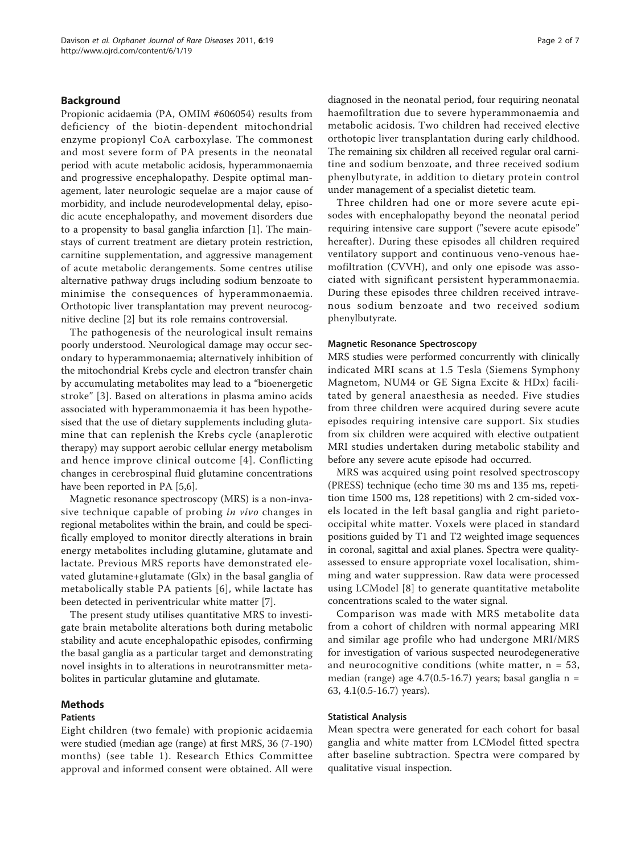# Background

Propionic acidaemia (PA, OMIM #606054) results from deficiency of the biotin-dependent mitochondrial enzyme propionyl CoA carboxylase. The commonest and most severe form of PA presents in the neonatal period with acute metabolic acidosis, hyperammonaemia and progressive encephalopathy. Despite optimal management, later neurologic sequelae are a major cause of morbidity, and include neurodevelopmental delay, episodic acute encephalopathy, and movement disorders due to a propensity to basal ganglia infarction [[1\]](#page-6-0). The mainstays of current treatment are dietary protein restriction, carnitine supplementation, and aggressive management of acute metabolic derangements. Some centres utilise alternative pathway drugs including sodium benzoate to minimise the consequences of hyperammonaemia. Orthotopic liver transplantation may prevent neurocognitive decline [[2](#page-6-0)] but its role remains controversial.

The pathogenesis of the neurological insult remains poorly understood. Neurological damage may occur secondary to hyperammonaemia; alternatively inhibition of the mitochondrial Krebs cycle and electron transfer chain by accumulating metabolites may lead to a "bioenergetic stroke" [[3](#page-6-0)]. Based on alterations in plasma amino acids associated with hyperammonaemia it has been hypothesised that the use of dietary supplements including glutamine that can replenish the Krebs cycle (anaplerotic therapy) may support aerobic cellular energy metabolism and hence improve clinical outcome [[4](#page-6-0)]. Conflicting changes in cerebrospinal fluid glutamine concentrations have been reported in PA [\[5,6](#page-6-0)].

Magnetic resonance spectroscopy (MRS) is a non-invasive technique capable of probing in vivo changes in regional metabolites within the brain, and could be specifically employed to monitor directly alterations in brain energy metabolites including glutamine, glutamate and lactate. Previous MRS reports have demonstrated elevated glutamine+glutamate (Glx) in the basal ganglia of metabolically stable PA patients [[6](#page-6-0)], while lactate has been detected in periventricular white matter [\[7](#page-6-0)].

The present study utilises quantitative MRS to investigate brain metabolite alterations both during metabolic stability and acute encephalopathic episodes, confirming the basal ganglia as a particular target and demonstrating novel insights in to alterations in neurotransmitter metabolites in particular glutamine and glutamate.

### Methods

#### Patients

Eight children (two female) with propionic acidaemia were studied (median age (range) at first MRS, 36 (7-190) months) (see table [1](#page-2-0)). Research Ethics Committee approval and informed consent were obtained. All were diagnosed in the neonatal period, four requiring neonatal haemofiltration due to severe hyperammonaemia and metabolic acidosis. Two children had received elective orthotopic liver transplantation during early childhood. The remaining six children all received regular oral carnitine and sodium benzoate, and three received sodium phenylbutyrate, in addition to dietary protein control under management of a specialist dietetic team.

Three children had one or more severe acute episodes with encephalopathy beyond the neonatal period requiring intensive care support ("severe acute episode" hereafter). During these episodes all children required ventilatory support and continuous veno-venous haemofiltration (CVVH), and only one episode was associated with significant persistent hyperammonaemia. During these episodes three children received intravenous sodium benzoate and two received sodium phenylbutyrate.

#### Magnetic Resonance Spectroscopy

MRS studies were performed concurrently with clinically indicated MRI scans at 1.5 Tesla (Siemens Symphony Magnetom, NUM4 or GE Signa Excite & HDx) facilitated by general anaesthesia as needed. Five studies from three children were acquired during severe acute episodes requiring intensive care support. Six studies from six children were acquired with elective outpatient MRI studies undertaken during metabolic stability and before any severe acute episode had occurred.

MRS was acquired using point resolved spectroscopy (PRESS) technique (echo time 30 ms and 135 ms, repetition time 1500 ms, 128 repetitions) with 2 cm-sided voxels located in the left basal ganglia and right parietooccipital white matter. Voxels were placed in standard positions guided by T1 and T2 weighted image sequences in coronal, sagittal and axial planes. Spectra were qualityassessed to ensure appropriate voxel localisation, shimming and water suppression. Raw data were processed using LCModel [[8](#page-6-0)] to generate quantitative metabolite concentrations scaled to the water signal.

Comparison was made with MRS metabolite data from a cohort of children with normal appearing MRI and similar age profile who had undergone MRI/MRS for investigation of various suspected neurodegenerative and neurocognitive conditions (white matter,  $n = 53$ , median (range) age  $4.7(0.5-16.7)$  years; basal ganglia n = 63, 4.1(0.5-16.7) years).

#### Statistical Analysis

Mean spectra were generated for each cohort for basal ganglia and white matter from LCModel fitted spectra after baseline subtraction. Spectra were compared by qualitative visual inspection.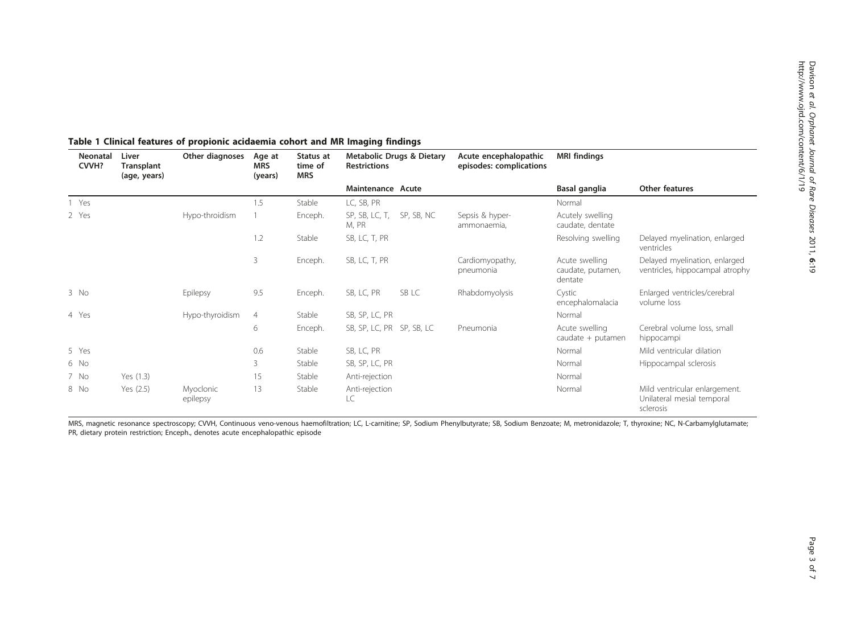| Neonatal<br>CVVH? | Liver<br><b>Transplant</b><br>(age, years) | Other diagnoses       | Age at<br><b>MRS</b><br>(years) | Status at<br>time of<br><b>MRS</b> | <b>Metabolic Drugs &amp; Dietary</b><br><b>Restrictions</b> |            | Acute encephalopathic<br>episodes: complications | <b>MRI</b> findings                            |                                                                          |
|-------------------|--------------------------------------------|-----------------------|---------------------------------|------------------------------------|-------------------------------------------------------------|------------|--------------------------------------------------|------------------------------------------------|--------------------------------------------------------------------------|
|                   |                                            |                       |                                 |                                    | Maintenance Acute                                           |            |                                                  | Basal ganglia                                  | Other features                                                           |
| Yes               |                                            |                       | 1.5                             | Stable                             | LC, SB, PR                                                  |            |                                                  | Normal                                         |                                                                          |
| 2 Yes             |                                            | Hypo-throidism        |                                 | Enceph.                            | SP, SB, LC, T,<br>M, PR                                     | SP, SB, NC | Sepsis & hyper-<br>ammonaemia,                   | Acutely swelling<br>caudate, dentate           |                                                                          |
|                   |                                            |                       | 1.2                             | Stable                             | SB, LC, T, PR                                               |            |                                                  | Resolving swelling                             | Delayed myelination, enlarged<br>ventricles                              |
|                   |                                            |                       | 3                               | Enceph.                            | SB, LC, T, PR                                               |            | Cardiomyopathy,<br>pneumonia                     | Acute swelling<br>caudate, putamen,<br>dentate | Delayed myelination, enlarged<br>ventricles, hippocampal atrophy         |
| 3 No              |                                            | Epilepsy              | 9.5                             | Enceph.                            | SB, LC, PR                                                  | SB LC      | Rhabdomyolysis                                   | Cystic<br>encephalomalacia                     | Enlarged ventricles/cerebral<br>volume loss                              |
| 4 Yes             |                                            | Hypo-thyroidism       | $\overline{4}$                  | Stable                             | SB, SP, LC, PR                                              |            |                                                  | Normal                                         |                                                                          |
|                   |                                            |                       | 6                               | Enceph.                            | SB, SP, LC, PR SP, SB, LC                                   |            | Pneumonia                                        | Acute swelling<br>$caudate + putamen$          | Cerebral volume loss, small<br>hippocampi                                |
| 5 Yes             |                                            |                       | 0.6                             | Stable                             | SB, LC, PR                                                  |            |                                                  | Normal                                         | Mild ventricular dilation                                                |
| 6 No              |                                            |                       | 3                               | Stable                             | SB, SP, LC, PR                                              |            |                                                  | Normal                                         | Hippocampal sclerosis                                                    |
| 7 No              | Yes (1.3)                                  |                       | 15                              | Stable                             | Anti-rejection                                              |            |                                                  | Normal                                         |                                                                          |
| 8 No              | Yes (2.5)                                  | Myoclonic<br>epilepsy | 13                              | Stable                             | Anti-rejection<br>LC                                        |            |                                                  | Normal                                         | Mild ventricular enlargement.<br>Unilateral mesial temporal<br>sclerosis |

# <span id="page-2-0"></span>Table 1 Clinical features of propionic acidaemia cohort and MR Imaging findings

MRS, magnetic resonance spectroscopy; CVVH, Continuous veno-venous haemofiltration; LC, L-carnitine; SP, Sodium Phenylbutyrate; SB, Sodium Benzoate; M, metronidazole; T, thyroxine; NC, N-Carbamylglutamate; PR, dietary protein restriction; Enceph., denotes acute encephalopathic episode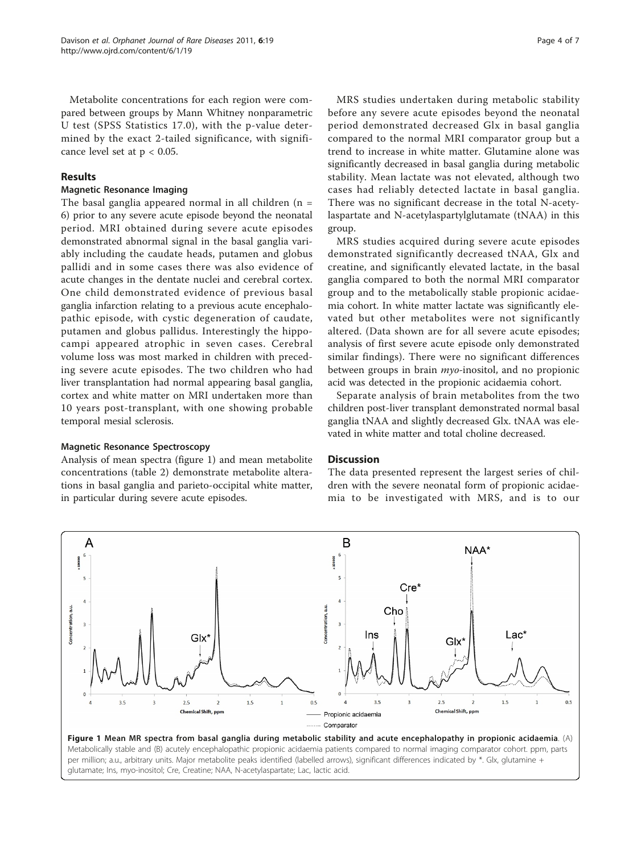Metabolite concentrations for each region were compared between groups by Mann Whitney nonparametric U test (SPSS Statistics 17.0), with the p-value determined by the exact 2-tailed significance, with significance level set at  $p < 0.05$ .

# Results

# Magnetic Resonance Imaging

The basal ganglia appeared normal in all children  $(n =$ 6) prior to any severe acute episode beyond the neonatal period. MRI obtained during severe acute episodes demonstrated abnormal signal in the basal ganglia variably including the caudate heads, putamen and globus pallidi and in some cases there was also evidence of acute changes in the dentate nuclei and cerebral cortex. One child demonstrated evidence of previous basal ganglia infarction relating to a previous acute encephalopathic episode, with cystic degeneration of caudate, putamen and globus pallidus. Interestingly the hippocampi appeared atrophic in seven cases. Cerebral volume loss was most marked in children with preceding severe acute episodes. The two children who had liver transplantation had normal appearing basal ganglia, cortex and white matter on MRI undertaken more than 10 years post-transplant, with one showing probable temporal mesial sclerosis.

### Magnetic Resonance Spectroscopy

Analysis of mean spectra (figure 1) and mean metabolite concentrations (table [2\)](#page-4-0) demonstrate metabolite alterations in basal ganglia and parieto-occipital white matter, in particular during severe acute episodes.

MRS studies undertaken during metabolic stability before any severe acute episodes beyond the neonatal period demonstrated decreased Glx in basal ganglia compared to the normal MRI comparator group but a trend to increase in white matter. Glutamine alone was significantly decreased in basal ganglia during metabolic stability. Mean lactate was not elevated, although two cases had reliably detected lactate in basal ganglia. There was no significant decrease in the total N-acetylaspartate and N-acetylaspartylglutamate (tNAA) in this group.

MRS studies acquired during severe acute episodes demonstrated significantly decreased tNAA, Glx and creatine, and significantly elevated lactate, in the basal ganglia compared to both the normal MRI comparator group and to the metabolically stable propionic acidaemia cohort. In white matter lactate was significantly elevated but other metabolites were not significantly altered. (Data shown are for all severe acute episodes; analysis of first severe acute episode only demonstrated similar findings). There were no significant differences between groups in brain *myo*-inositol, and no propionic acid was detected in the propionic acidaemia cohort.

Separate analysis of brain metabolites from the two children post-liver transplant demonstrated normal basal ganglia tNAA and slightly decreased Glx. tNAA was elevated in white matter and total choline decreased.

# **Discussion**

The data presented represent the largest series of children with the severe neonatal form of propionic acidaemia to be investigated with MRS, and is to our

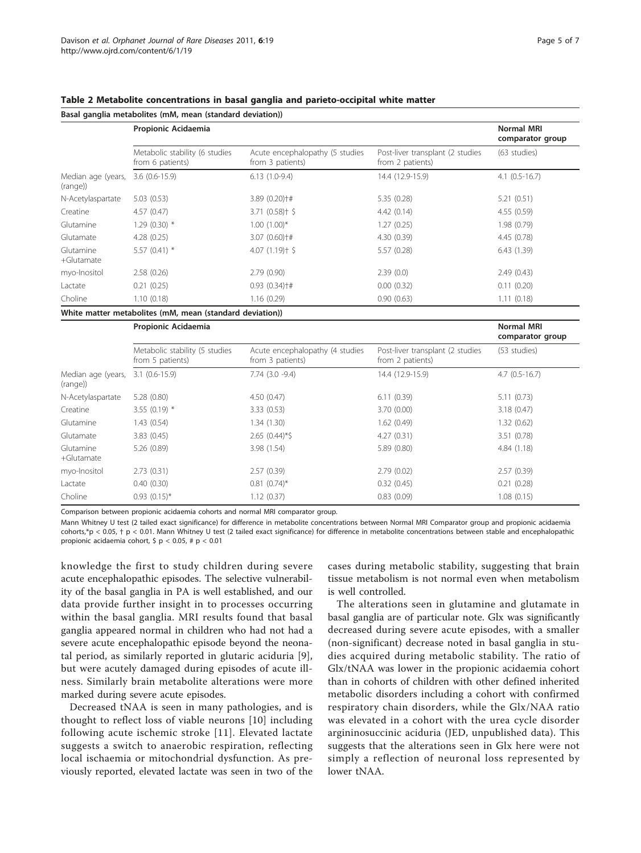<span id="page-4-0"></span>

| Table 2 Metabolite concentrations in basal ganglia and parieto-occipital white matter |  |  |  |
|---------------------------------------------------------------------------------------|--|--|--|
|---------------------------------------------------------------------------------------|--|--|--|

| Basal ganglia metabolites (mM, mean (standard deviation)) |                                                          |                                                     |                                                      |                   |  |  |
|-----------------------------------------------------------|----------------------------------------------------------|-----------------------------------------------------|------------------------------------------------------|-------------------|--|--|
|                                                           | Propionic Acidaemia                                      | <b>Normal MRI</b><br>comparator group               |                                                      |                   |  |  |
|                                                           | Metabolic stability (6 studies<br>from 6 patients)       | Acute encephalopathy (5 studies<br>from 3 patients) | Post-liver transplant (2 studies<br>from 2 patients) | (63 studies)      |  |  |
| Median age (years,<br>(range))                            | $3.6(0.6-15.9)$                                          | $6.13(1.0-9.4)$                                     | 14.4 (12.9-15.9)                                     | $4.1(0.5-16.7)$   |  |  |
| N-Acetylaspartate                                         | 5.03(0.53)                                               | 3.89 (0.20) +#                                      | 5.35(0.28)                                           | 5.21(0.51)        |  |  |
| Creatine                                                  | 4.57(0.47)                                               | $3.71(0.58)$ $\uparrow$ \$                          | 4.42(0.14)                                           | 4.55(0.59)        |  |  |
| Glutamine                                                 | $1.29(0.30)$ *                                           | $1.00(1.00)*$                                       | 1.27(0.25)                                           | 1.98(0.79)        |  |  |
| Glutamate                                                 | 4.28(0.25)                                               | $3.07(0.60)$ <sup>+#</sup>                          | 4.30(0.39)                                           | 4.45(0.78)        |  |  |
| Glutamine<br>+Glutamate                                   | 5.57 (0.41) $*$                                          | 4.07 $(1.19)$ $\uparrow$ \$                         | 5.57(0.28)                                           | 6.43(1.39)        |  |  |
| myo-Inositol                                              | 2.58(0.26)                                               | 2.79(0.90)                                          | 2.39(0.0)                                            | 2.49(0.43)        |  |  |
| Lactate                                                   | 0.21(0.25)                                               | $0.93(0.34)$ <sup>+#</sup>                          | 0.00(0.32)                                           | 0.11(0.20)        |  |  |
| Choline                                                   | 1.10(0.18)                                               | 1.16(0.29)                                          | 0.90(0.63)                                           | 1.11(0.18)        |  |  |
|                                                           | White matter metabolites (mM, mean (standard deviation)) |                                                     |                                                      |                   |  |  |
|                                                           | Propionic Acidaemia                                      |                                                     |                                                      | <b>Normal MRI</b> |  |  |

|                                |                                                    |                                                     |                                                      | comparator group |
|--------------------------------|----------------------------------------------------|-----------------------------------------------------|------------------------------------------------------|------------------|
|                                | Metabolic stability (5 studies<br>from 5 patients) | Acute encephalopathy (4 studies<br>from 3 patients) | Post-liver transplant (2 studies<br>from 2 patients) | (53 studies)     |
| Median age (years,<br>(range)) | $3.1(0.6-15.9)$                                    | $7.74(3.0 - 9.4)$                                   | 14.4 (12.9-15.9)                                     | $4.7(0.5-16.7)$  |
| N-Acetylaspartate              | 5.28(0.80)                                         | 4.50(0.47)                                          | 6.11(0.39)                                           | 5.11(0.73)       |
| Creatine                       | $3.55(0.19)$ *                                     | 3.33(0.53)                                          | 3.70(0.00)                                           | 3.18(0.47)       |
| Glutamine                      | 1.43 (0.54)                                        | 1.34(1.30)                                          | 1.62(0.49)                                           | 1.32(0.62)       |
| Glutamate                      | 3.83(0.45)                                         | $2.65(0.44)$ *\$                                    | 4.27(0.31)                                           | 3.51(0.78)       |
| Glutamine<br>+Glutamate        | 5.26(0.89)                                         | 3.98 (1.54)                                         | 5.89(0.80)                                           | 4.84(1.18)       |
| myo-Inositol                   | 2.73(0.31)                                         | 2.57(0.39)                                          | 2.79(0.02)                                           | 2.57(0.39)       |
| Lactate                        | 0.40(0.30)                                         | $0.81(0.74)$ *                                      | 0.32(0.45)                                           | 0.21(0.28)       |
| Choline                        | $0.93(0.15)^{*}$                                   | 1.12(0.37)                                          | 0.83(0.09)                                           | 1.08(0.15)       |

Comparison between propionic acidaemia cohorts and normal MRI comparator group.

Mann Whitney U test (2 tailed exact significance) for difference in metabolite concentrations between Normal MRI Comparator group and propionic acidaemia cohorts,\*p < 0.05, † p < 0.01. Mann Whitney U test (2 tailed exact significance) for difference in metabolite concentrations between stable and encephalopathic propionic acidaemia cohort,  $\frac{1}{2}$  p < 0.05, # p < 0.01

knowledge the first to study children during severe acute encephalopathic episodes. The selective vulnerability of the basal ganglia in PA is well established, and our data provide further insight in to processes occurring within the basal ganglia. MRI results found that basal ganglia appeared normal in children who had not had a severe acute encephalopathic episode beyond the neonatal period, as similarly reported in glutaric aciduria [[9](#page-6-0)], but were acutely damaged during episodes of acute illness. Similarly brain metabolite alterations were more marked during severe acute episodes.

Decreased tNAA is seen in many pathologies, and is thought to reflect loss of viable neurons [[10\]](#page-6-0) including following acute ischemic stroke [[11\]](#page-6-0). Elevated lactate suggests a switch to anaerobic respiration, reflecting local ischaemia or mitochondrial dysfunction. As previously reported, elevated lactate was seen in two of the

cases during metabolic stability, suggesting that brain tissue metabolism is not normal even when metabolism is well controlled.

The alterations seen in glutamine and glutamate in basal ganglia are of particular note. Glx was significantly decreased during severe acute episodes, with a smaller (non-significant) decrease noted in basal ganglia in studies acquired during metabolic stability. The ratio of Glx/tNAA was lower in the propionic acidaemia cohort than in cohorts of children with other defined inherited metabolic disorders including a cohort with confirmed respiratory chain disorders, while the Glx/NAA ratio was elevated in a cohort with the urea cycle disorder argininosuccinic aciduria (JED, unpublished data). This suggests that the alterations seen in Glx here were not simply a reflection of neuronal loss represented by lower tNAA.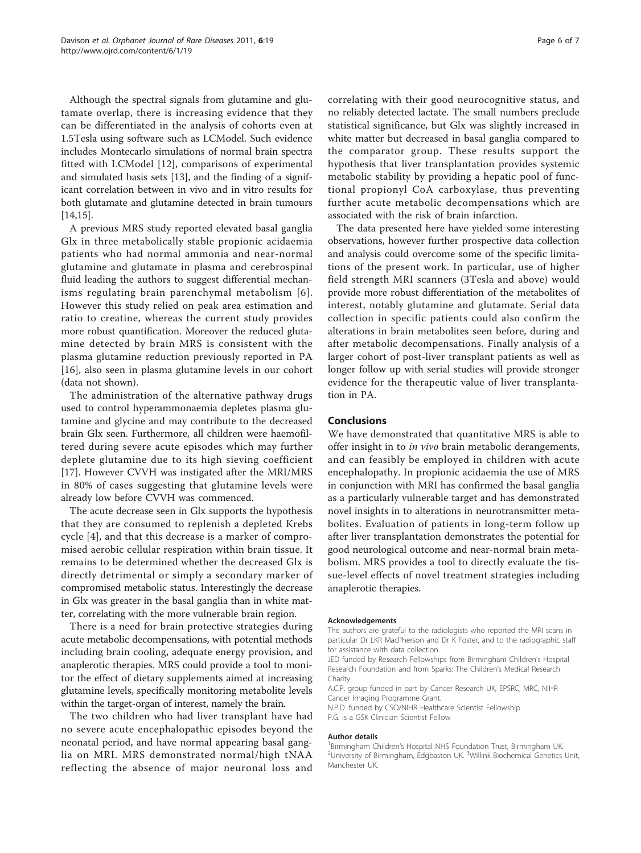Although the spectral signals from glutamine and glutamate overlap, there is increasing evidence that they can be differentiated in the analysis of cohorts even at 1.5Tesla using software such as LCModel. Such evidence includes Montecarlo simulations of normal brain spectra fitted with LCModel [[12\]](#page-6-0), comparisons of experimental and simulated basis sets [[13\]](#page-6-0), and the finding of a significant correlation between in vivo and in vitro results for both glutamate and glutamine detected in brain tumours [[14,15\]](#page-6-0).

A previous MRS study reported elevated basal ganglia Glx in three metabolically stable propionic acidaemia patients who had normal ammonia and near-normal glutamine and glutamate in plasma and cerebrospinal fluid leading the authors to suggest differential mechanisms regulating brain parenchymal metabolism [\[6\]](#page-6-0). However this study relied on peak area estimation and ratio to creatine, whereas the current study provides more robust quantification. Moreover the reduced glutamine detected by brain MRS is consistent with the plasma glutamine reduction previously reported in PA [[16\]](#page-6-0), also seen in plasma glutamine levels in our cohort (data not shown).

The administration of the alternative pathway drugs used to control hyperammonaemia depletes plasma glutamine and glycine and may contribute to the decreased brain Glx seen. Furthermore, all children were haemofiltered during severe acute episodes which may further deplete glutamine due to its high sieving coefficient [[17\]](#page-6-0). However CVVH was instigated after the MRI/MRS in 80% of cases suggesting that glutamine levels were already low before CVVH was commenced.

The acute decrease seen in Glx supports the hypothesis that they are consumed to replenish a depleted Krebs cycle [[4\]](#page-6-0), and that this decrease is a marker of compromised aerobic cellular respiration within brain tissue. It remains to be determined whether the decreased Glx is directly detrimental or simply a secondary marker of compromised metabolic status. Interestingly the decrease in Glx was greater in the basal ganglia than in white matter, correlating with the more vulnerable brain region.

There is a need for brain protective strategies during acute metabolic decompensations, with potential methods including brain cooling, adequate energy provision, and anaplerotic therapies. MRS could provide a tool to monitor the effect of dietary supplements aimed at increasing glutamine levels, specifically monitoring metabolite levels within the target-organ of interest, namely the brain.

The two children who had liver transplant have had no severe acute encephalopathic episodes beyond the neonatal period, and have normal appearing basal ganglia on MRI. MRS demonstrated normal/high tNAA reflecting the absence of major neuronal loss and Page 6 of 7

correlating with their good neurocognitive status, and no reliably detected lactate. The small numbers preclude statistical significance, but Glx was slightly increased in white matter but decreased in basal ganglia compared to the comparator group. These results support the hypothesis that liver transplantation provides systemic metabolic stability by providing a hepatic pool of functional propionyl CoA carboxylase, thus preventing further acute metabolic decompensations which are associated with the risk of brain infarction.

The data presented here have yielded some interesting observations, however further prospective data collection and analysis could overcome some of the specific limitations of the present work. In particular, use of higher field strength MRI scanners (3Tesla and above) would provide more robust differentiation of the metabolites of interest, notably glutamine and glutamate. Serial data collection in specific patients could also confirm the alterations in brain metabolites seen before, during and after metabolic decompensations. Finally analysis of a larger cohort of post-liver transplant patients as well as longer follow up with serial studies will provide stronger evidence for the therapeutic value of liver transplantation in PA.

# Conclusions

We have demonstrated that quantitative MRS is able to offer insight in to in vivo brain metabolic derangements, and can feasibly be employed in children with acute encephalopathy. In propionic acidaemia the use of MRS in conjunction with MRI has confirmed the basal ganglia as a particularly vulnerable target and has demonstrated novel insights in to alterations in neurotransmitter metabolites. Evaluation of patients in long-term follow up after liver transplantation demonstrates the potential for good neurological outcome and near-normal brain metabolism. MRS provides a tool to directly evaluate the tissue-level effects of novel treatment strategies including anaplerotic therapies.

#### Acknowledgements

The authors are grateful to the radiologists who reported the MRI scans in particular Dr LKR MacPherson and Dr K Foster, and to the radiographic staff for assistance with data collection.

JED funded by Research Fellowships from Birmingham Children's Hospital Research Foundation and from Sparks: The Children's Medical Research Charity.

A.C.P. group funded in part by Cancer Research UK, EPSRC, MRC, NIHR Cancer Imaging Programme Grant.

N.P.D. funded by CSO/NIHR Healthcare Scientist Fellowship

P.G. is a GSK Clinician Scientist Fellow

#### Author details

<sup>&</sup>lt;sup>1</sup> Birmingham Children's Hospital NHS Foundation Trust, Birmingham UK<sup>2</sup><br><sup>2</sup> University of Birmingham Edghaston UK<sup>3</sup> Willink Biochemical Gonetics University of Birmingham, Edgbaston UK. <sup>3</sup>Willink Biochemical Genetics Unit Manchester UK.